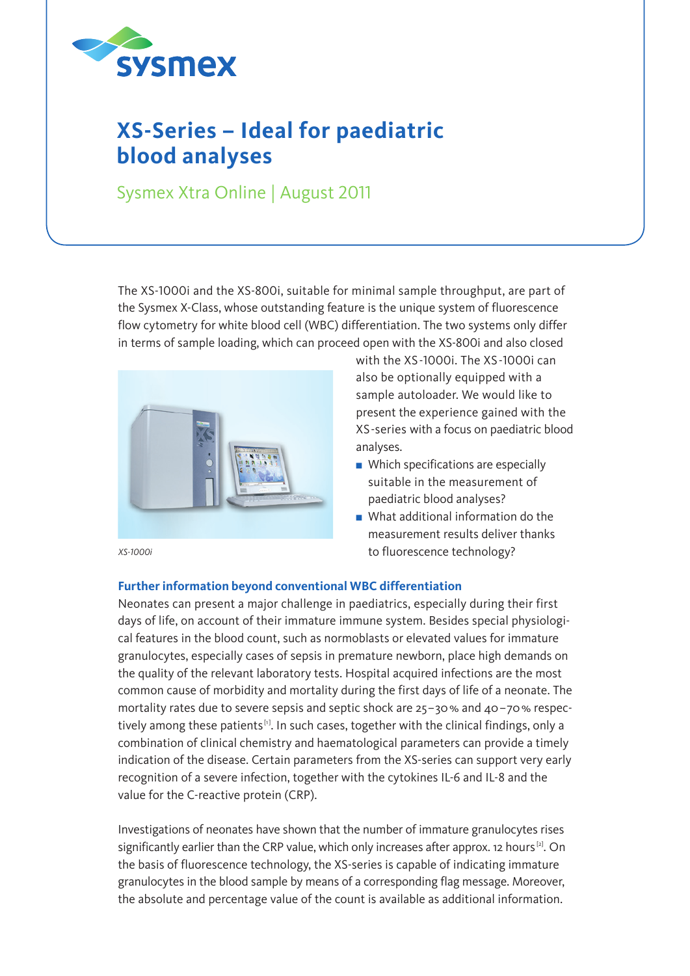

# **XS-Series – Ideal for paediatric blood analyses**

Sysmex Xtra Online | August 2011

The XS-1000i and the XS-800i, suitable for minimal sample throughput, are part of the Sysmex X-Class, whose outstanding feature is the unique system of fluorescence flow cytometry for white blood cell (WBC) differentiation. The two systems only differ in terms of sample loading, which can proceed open with the XS-800i and also closed



with the XS-1000i. The XS-1000i can also be optionally equipped with a sample autoloader. We would like to present the experience gained with the XS-series with a focus on paediatric blood analyses.

- $\blacksquare$  Which specifications are especially suitable in the measurement of paediatric blood analyses?
- $\blacksquare$  What additional information do the measurement results deliver thanks to fluorescence technology?

## *XS-1000i*

### **Further information beyond conventional WBC differentiation**

Neonates can present a major challenge in paediatrics, especially during their first days of life, on account of their immature immune system. Besides special physiological features in the blood count, such as normoblasts or elevated values for immature granulocytes, especially cases of sepsis in premature newborn, place high demands on the quality of the relevant laboratory tests. Hospital acquired infections are the most common cause of morbidity and mortality during the first days of life of a neonate. The mortality rates due to severe sepsis and septic shock are  $25-30$  % and  $40-70$  % respectively among these patients<sup>[1]</sup>. In such cases, together with the clinical findings, only a combination of clinical chemistry and haematological parameters can provide a timely indication of the disease. Certain parameters from the XS-series can support very early recognition of a severe infection, together with the cytokines IL-6 and IL-8 and the value for the C-reactive protein (CRP).

Investigations of neonates have shown that the number of immature granulocytes rises significantly earlier than the CRP value, which only increases after approx. 12 hours<sup>[2]</sup>. On the basis of fluorescence technology, the XS-series is capable of indicating immature granulocytes in the blood sample by means of a corresponding flag message. Moreover, the absolute and percentage value of the count is available as additional information.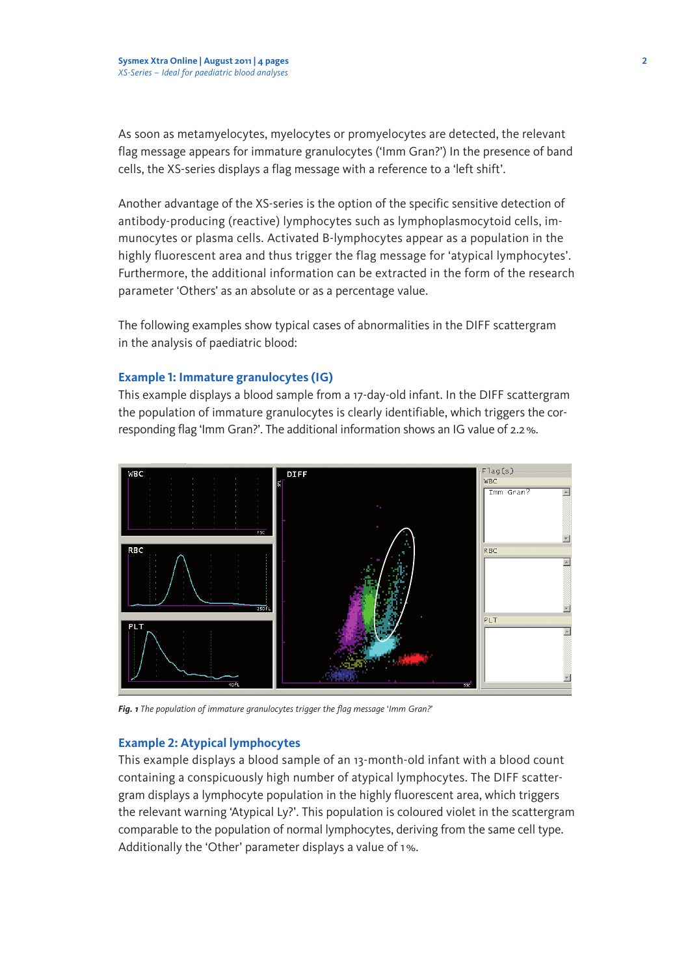As soon as metamyelocytes, myelocytes or promyelocytes are detected, the relevant flag message appears for immature granulocytes ('Imm Gran?') In the presence of band cells, the XS-series displays a flag message with a reference to a 'left shift'.

Another advantage of the XS-series is the option of the specific sensitive detection of antibody-producing (reactive) lymphocytes such as lymphoplasmocytoid cells, immunocytes or plasma cells. Activated B-lymphocytes appear as a population in the highly fluorescent area and thus trigger the flag message for 'atypical lymphocytes'. Furthermore, the additional information can be extracted in the form of the research parameter 'Others' as an absolute or as a percentage value.

The following examples show typical cases of abnormalities in the DIFF scattergram in the analysis of paediatric blood:

### **Example 1: Immature granulocytes (IG)**

This example displays a blood sample from a 17-day-old infant. In the DIFF scattergram the population of immature granulocytes is clearly identifiable, which triggers the corresponding flag 'Imm Gran?'. The additional information shows an IG value of 2.2%.



*Fig. 1 The population of immature granulocytes trigger the flag message* '*Imm Gran?*'

#### **Example 2: Atypical lymphocytes**

This example displays a blood sample of an 13-month-old infant with a blood count containing a conspicuously high number of atypical lymphocytes. The DIFF scattergram displays a lymphocyte population in the highly fluorescent area, which triggers the relevant warning 'Atypical Ly?'. This population is coloured violet in the scattergram comparable to the population of normal lymphocytes, deriving from the same cell type. Additionally the 'Other' parameter displays a value of 1%.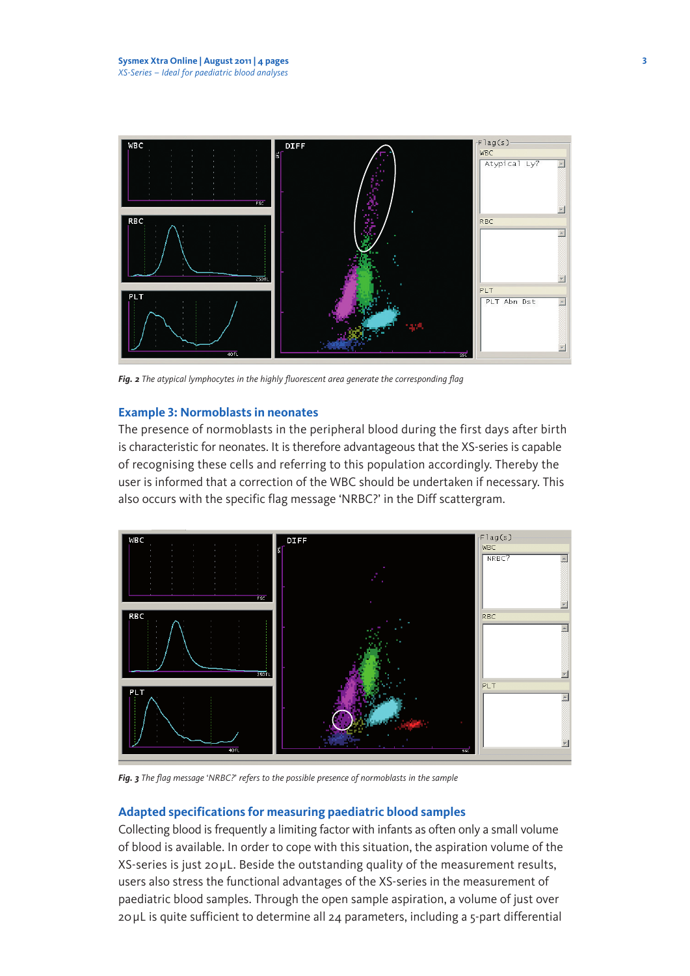

*Fig. 2 The atypical lymphocytes in the highly fluorescent area generate the corresponding flag* 

#### **Example 3: Normoblasts in neonates**

The presence of normoblasts in the peripheral blood during the first days after birth is characteristic for neonates. It is therefore advantageous that the XS-series is capable of recognising these cells and referring to this population accordingly. Thereby the user is informed that a correction of the WBC should be undertaken if necessary. This also occurs with the specific flag message 'NRBC?' in the Diff scattergram.



*Fig. 3 The flag message* '*NRBC?*' *refers to the possible presence of normoblasts in the sample*

### **Adapted specifications for measuring paediatric blood samples**

Collecting blood is frequently a limiting factor with infants as often only a small volume of blood is available. In order to cope with this situation, the aspiration volume of the XS-series is just 20μL. Beside the outstanding quality of the measurement results, users also stress the functional advantages of the XS-series in the measurement of paediatric blood samples. Through the open sample aspiration, a volume of just over 20μL is quite sufficient to determine all 24 parameters, including a 5-part differential